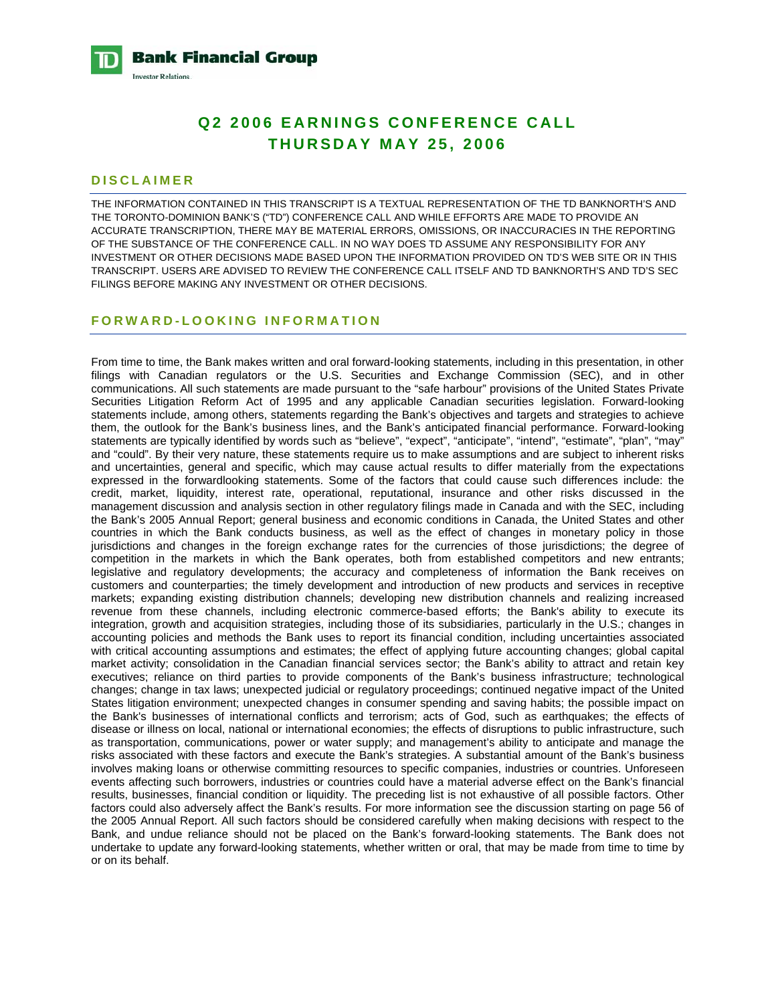**Bank Financial Group Investor Relations** 

# **Q2 2006 EARNINGS CONFERENCE CALL THURSDAY MAY 25, 2006**

#### **DISCLAIMER**

THE INFORMATION CONTAINED IN THIS TRANSCRIPT IS A TEXTUAL REPRESENTATION OF THE TD BANKNORTH'S AND THE TORONTO-DOMINION BANK'S ("TD") CONFERENCE CALL AND WHILE EFFORTS ARE MADE TO PROVIDE AN ACCURATE TRANSCRIPTION, THERE MAY BE MATERIAL ERRORS, OMISSIONS, OR INACCURACIES IN THE REPORTING OF THE SUBSTANCE OF THE CONFERENCE CALL. IN NO WAY DOES TD ASSUME ANY RESPONSIBILITY FOR ANY INVESTMENT OR OTHER DECISIONS MADE BASED UPON THE INFORMATION PROVIDED ON TD'S WEB SITE OR IN THIS TRANSCRIPT. USERS ARE ADVISED TO REVIEW THE CONFERENCE CALL ITSELF AND TD BANKNORTH'S AND TD'S SEC FILINGS BEFORE MAKING ANY INVESTMENT OR OTHER DECISIONS.

#### **FORWARD-LOOKING INFORMATION**

From time to time, the Bank makes written and oral forward-looking statements, including in this presentation, in other filings with Canadian regulators or the U.S. Securities and Exchange Commission (SEC), and in other communications. All such statements are made pursuant to the "safe harbour" provisions of the United States Private Securities Litigation Reform Act of 1995 and any applicable Canadian securities legislation. Forward-looking statements include, among others, statements regarding the Bank's objectives and targets and strategies to achieve them, the outlook for the Bank's business lines, and the Bank's anticipated financial performance. Forward-looking statements are typically identified by words such as "believe", "expect", "anticipate", "intend", "estimate", "plan", "may" and "could". By their very nature, these statements require us to make assumptions and are subject to inherent risks and uncertainties, general and specific, which may cause actual results to differ materially from the expectations expressed in the forwardlooking statements. Some of the factors that could cause such differences include: the credit, market, liquidity, interest rate, operational, reputational, insurance and other risks discussed in the management discussion and analysis section in other regulatory filings made in Canada and with the SEC, including the Bank's 2005 Annual Report; general business and economic conditions in Canada, the United States and other countries in which the Bank conducts business, as well as the effect of changes in monetary policy in those jurisdictions and changes in the foreign exchange rates for the currencies of those jurisdictions; the degree of competition in the markets in which the Bank operates, both from established competitors and new entrants; legislative and regulatory developments; the accuracy and completeness of information the Bank receives on customers and counterparties; the timely development and introduction of new products and services in receptive markets; expanding existing distribution channels; developing new distribution channels and realizing increased revenue from these channels, including electronic commerce-based efforts; the Bank's ability to execute its integration, growth and acquisition strategies, including those of its subsidiaries, particularly in the U.S.; changes in accounting policies and methods the Bank uses to report its financial condition, including uncertainties associated with critical accounting assumptions and estimates; the effect of applying future accounting changes; global capital market activity; consolidation in the Canadian financial services sector; the Bank's ability to attract and retain key executives; reliance on third parties to provide components of the Bank's business infrastructure; technological changes; change in tax laws; unexpected judicial or regulatory proceedings; continued negative impact of the United States litigation environment; unexpected changes in consumer spending and saving habits; the possible impact on the Bank's businesses of international conflicts and terrorism; acts of God, such as earthquakes; the effects of disease or illness on local, national or international economies; the effects of disruptions to public infrastructure, such as transportation, communications, power or water supply; and management's ability to anticipate and manage the risks associated with these factors and execute the Bank's strategies. A substantial amount of the Bank's business involves making loans or otherwise committing resources to specific companies, industries or countries. Unforeseen events affecting such borrowers, industries or countries could have a material adverse effect on the Bank's financial results, businesses, financial condition or liquidity. The preceding list is not exhaustive of all possible factors. Other factors could also adversely affect the Bank's results. For more information see the discussion starting on page 56 of the 2005 Annual Report. All such factors should be considered carefully when making decisions with respect to the Bank, and undue reliance should not be placed on the Bank's forward-looking statements. The Bank does not undertake to update any forward-looking statements, whether written or oral, that may be made from time to time by or on its behalf.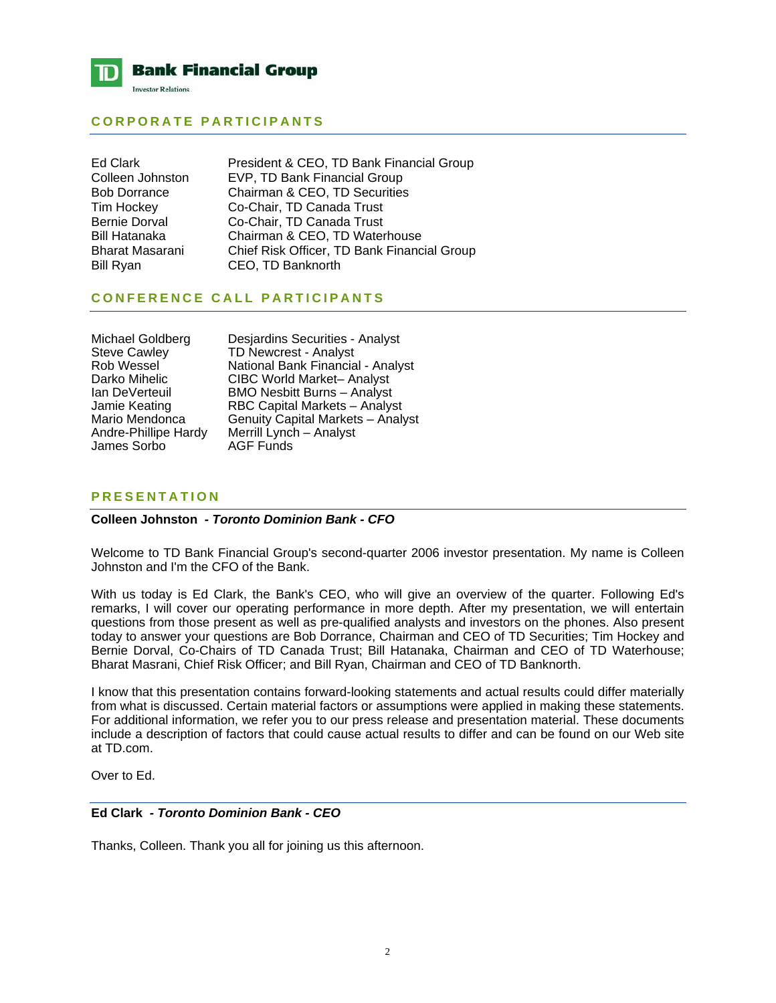

## **CORPORATE PARTICIPANTS**

Ed Clark **President & CEO, TD Bank Financial Group** Colleen Johnston EVP, TD Bank Financial Group Bob Dorrance Chairman & CEO, TD Securities Tim Hockey Co-Chair, TD Canada Trust Bernie Dorval Co-Chair, TD Canada Trust Bill Hatanaka Chairman & CEO, TD Waterhouse Bharat Masarani Chief Risk Officer, TD Bank Financial Group Bill Ryan CEO, TD Banknorth

## **CONFERENCE CALL PARTICIPANTS**

James Sorbo

Michael Goldberg Desjardins Securities - Analyst<br>Steve Cawley TD Newcrest - Analyst Steve Cawley **TD Newcrest - Analyst**<br>
Rob Wessel **National Bank Financia** Rob Wessel **National Bank Financial - Analyst**<br>Darko Mihelic CIBC World Market- Analyst Darko Mihelic CIBC World Market– Analyst<br>Ian DeVerteuil BMO Nesbitt Burns – Analyst Ian DeVerteuil BMO Nesbitt Burns – Analyst Jamie Keating **RBC Capital Markets – Analyst**<br>Mario Mendonca Genuity Capital Markets – Analy Mario Mendonca Genuity Capital Markets – Analyst<br>Andre-Phillipe Hardy Merrill Lynch – Analyst Merrill Lynch – Analyst<br>AGF Funds

## **PRESENTATION**

## **Colleen Johnston** *- Toronto Dominion Bank - CFO*

Welcome to TD Bank Financial Group's second-quarter 2006 investor presentation. My name is Colleen Johnston and I'm the CFO of the Bank.

With us today is Ed Clark, the Bank's CEO, who will give an overview of the quarter. Following Ed's remarks, I will cover our operating performance in more depth. After my presentation, we will entertain questions from those present as well as pre-qualified analysts and investors on the phones. Also present today to answer your questions are Bob Dorrance, Chairman and CEO of TD Securities; Tim Hockey and Bernie Dorval, Co-Chairs of TD Canada Trust; Bill Hatanaka, Chairman and CEO of TD Waterhouse; Bharat Masrani, Chief Risk Officer; and Bill Ryan, Chairman and CEO of TD Banknorth.

I know that this presentation contains forward-looking statements and actual results could differ materially from what is discussed. Certain material factors or assumptions were applied in making these statements. For additional information, we refer you to our press release and presentation material. These documents include a description of factors that could cause actual results to differ and can be found on our Web site at TD.com.

Over to Ed.

## **Ed Clark** *- Toronto Dominion Bank - CEO*

Thanks, Colleen. Thank you all for joining us this afternoon.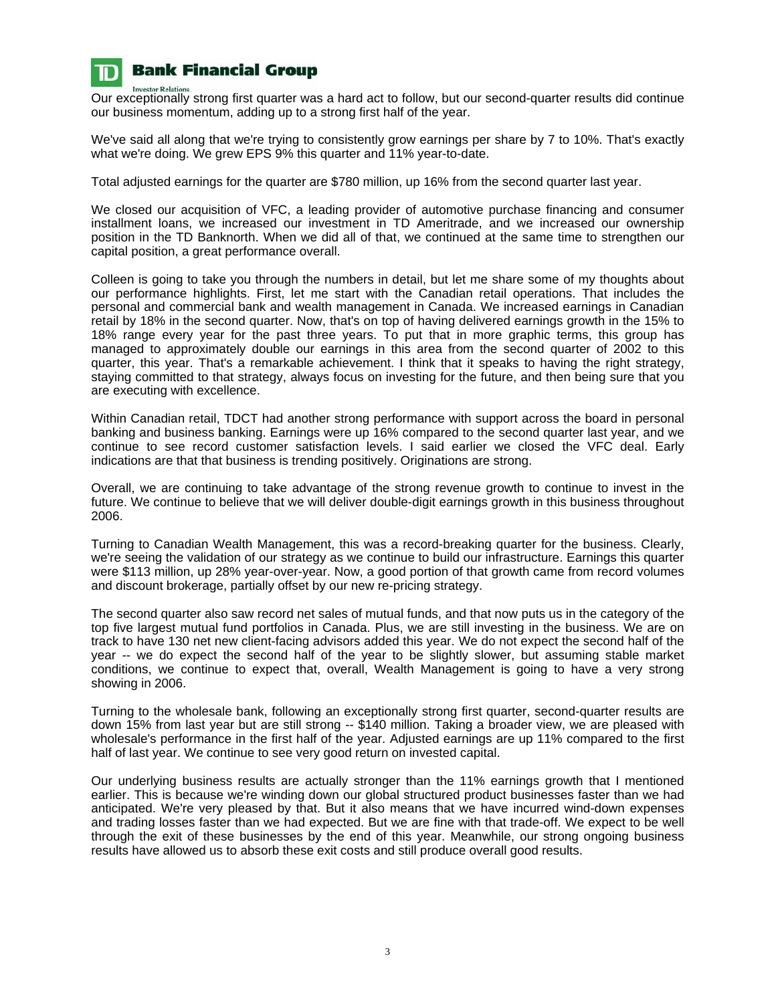

**Investor Relations** 

# **Bank Financial Group**

Our exceptionally strong first quarter was a hard act to follow, but our second-quarter results did continue our business momentum, adding up to a strong first half of the year.

We've said all along that we're trying to consistently grow earnings per share by 7 to 10%. That's exactly what we're doing. We grew EPS 9% this quarter and 11% year-to-date.

Total adjusted earnings for the quarter are \$780 million, up 16% from the second quarter last year.

We closed our acquisition of VFC, a leading provider of automotive purchase financing and consumer installment loans, we increased our investment in TD Ameritrade, and we increased our ownership position in the TD Banknorth. When we did all of that, we continued at the same time to strengthen our capital position, a great performance overall.

Colleen is going to take you through the numbers in detail, but let me share some of my thoughts about our performance highlights. First, let me start with the Canadian retail operations. That includes the personal and commercial bank and wealth management in Canada. We increased earnings in Canadian retail by 18% in the second quarter. Now, that's on top of having delivered earnings growth in the 15% to 18% range every year for the past three years. To put that in more graphic terms, this group has managed to approximately double our earnings in this area from the second quarter of 2002 to this quarter, this year. That's a remarkable achievement. I think that it speaks to having the right strategy, staying committed to that strategy, always focus on investing for the future, and then being sure that you are executing with excellence.

Within Canadian retail, TDCT had another strong performance with support across the board in personal banking and business banking. Earnings were up 16% compared to the second quarter last year, and we continue to see record customer satisfaction levels. I said earlier we closed the VFC deal. Early indications are that that business is trending positively. Originations are strong.

Overall, we are continuing to take advantage of the strong revenue growth to continue to invest in the future. We continue to believe that we will deliver double-digit earnings growth in this business throughout 2006.

Turning to Canadian Wealth Management, this was a record-breaking quarter for the business. Clearly, we're seeing the validation of our strategy as we continue to build our infrastructure. Earnings this quarter were \$113 million, up 28% year-over-year. Now, a good portion of that growth came from record volumes and discount brokerage, partially offset by our new re-pricing strategy.

The second quarter also saw record net sales of mutual funds, and that now puts us in the category of the top five largest mutual fund portfolios in Canada. Plus, we are still investing in the business. We are on track to have 130 net new client-facing advisors added this year. We do not expect the second half of the year -- we do expect the second half of the year to be slightly slower, but assuming stable market conditions, we continue to expect that, overall, Wealth Management is going to have a very strong showing in 2006.

Turning to the wholesale bank, following an exceptionally strong first quarter, second-quarter results are down 15% from last year but are still strong -- \$140 million. Taking a broader view, we are pleased with wholesale's performance in the first half of the year. Adjusted earnings are up 11% compared to the first half of last year. We continue to see very good return on invested capital.

Our underlying business results are actually stronger than the 11% earnings growth that I mentioned earlier. This is because we're winding down our global structured product businesses faster than we had anticipated. We're very pleased by that. But it also means that we have incurred wind-down expenses and trading losses faster than we had expected. But we are fine with that trade-off. We expect to be well through the exit of these businesses by the end of this year. Meanwhile, our strong ongoing business results have allowed us to absorb these exit costs and still produce overall good results.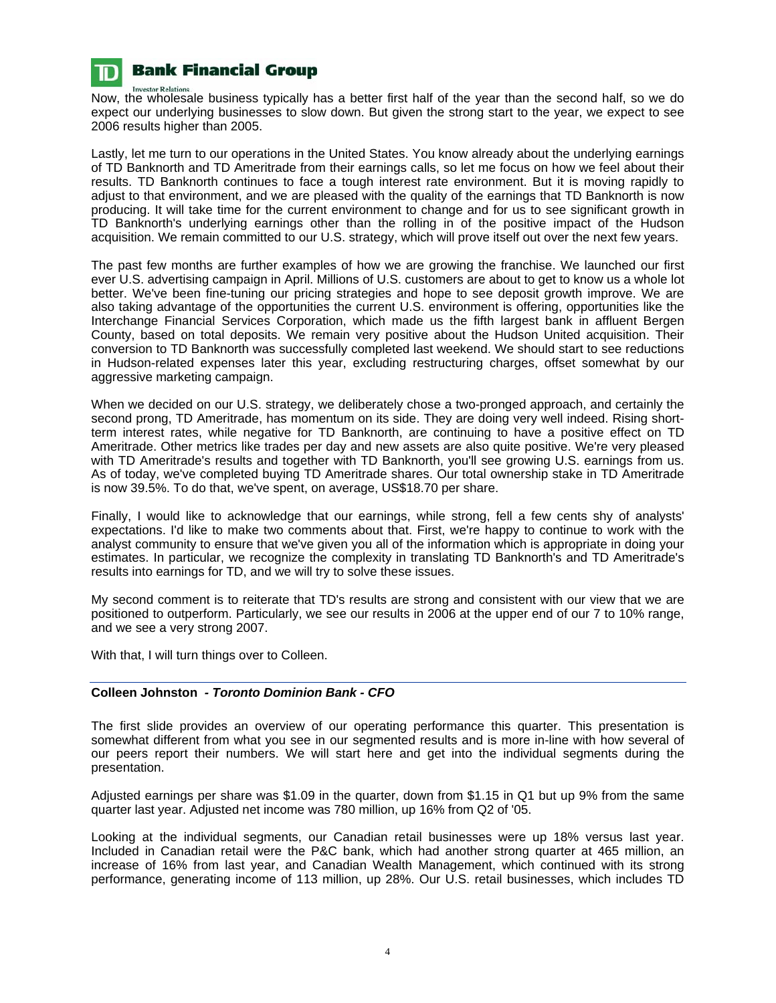

**Investor Relations** Now, the wholesale business typically has a better first half of the year than the second half, so we do expect our underlying businesses to slow down. But given the strong start to the year, we expect to see 2006 results higher than 2005.

Lastly, let me turn to our operations in the United States. You know already about the underlying earnings of TD Banknorth and TD Ameritrade from their earnings calls, so let me focus on how we feel about their results. TD Banknorth continues to face a tough interest rate environment. But it is moving rapidly to adjust to that environment, and we are pleased with the quality of the earnings that TD Banknorth is now producing. It will take time for the current environment to change and for us to see significant growth in TD Banknorth's underlying earnings other than the rolling in of the positive impact of the Hudson acquisition. We remain committed to our U.S. strategy, which will prove itself out over the next few years.

The past few months are further examples of how we are growing the franchise. We launched our first ever U.S. advertising campaign in April. Millions of U.S. customers are about to get to know us a whole lot better. We've been fine-tuning our pricing strategies and hope to see deposit growth improve. We are also taking advantage of the opportunities the current U.S. environment is offering, opportunities like the Interchange Financial Services Corporation, which made us the fifth largest bank in affluent Bergen County, based on total deposits. We remain very positive about the Hudson United acquisition. Their conversion to TD Banknorth was successfully completed last weekend. We should start to see reductions in Hudson-related expenses later this year, excluding restructuring charges, offset somewhat by our aggressive marketing campaign.

When we decided on our U.S. strategy, we deliberately chose a two-pronged approach, and certainly the second prong, TD Ameritrade, has momentum on its side. They are doing very well indeed. Rising shortterm interest rates, while negative for TD Banknorth, are continuing to have a positive effect on TD Ameritrade. Other metrics like trades per day and new assets are also quite positive. We're very pleased with TD Ameritrade's results and together with TD Banknorth, you'll see growing U.S. earnings from us. As of today, we've completed buying TD Ameritrade shares. Our total ownership stake in TD Ameritrade is now 39.5%. To do that, we've spent, on average, US\$18.70 per share.

Finally, I would like to acknowledge that our earnings, while strong, fell a few cents shy of analysts' expectations. I'd like to make two comments about that. First, we're happy to continue to work with the analyst community to ensure that we've given you all of the information which is appropriate in doing your estimates. In particular, we recognize the complexity in translating TD Banknorth's and TD Ameritrade's results into earnings for TD, and we will try to solve these issues.

My second comment is to reiterate that TD's results are strong and consistent with our view that we are positioned to outperform. Particularly, we see our results in 2006 at the upper end of our 7 to 10% range, and we see a very strong 2007.

With that, I will turn things over to Colleen.

## **Colleen Johnston** *- Toronto Dominion Bank - CFO*

The first slide provides an overview of our operating performance this quarter. This presentation is somewhat different from what you see in our segmented results and is more in-line with how several of our peers report their numbers. We will start here and get into the individual segments during the presentation.

Adjusted earnings per share was \$1.09 in the quarter, down from \$1.15 in Q1 but up 9% from the same quarter last year. Adjusted net income was 780 million, up 16% from Q2 of '05.

Looking at the individual segments, our Canadian retail businesses were up 18% versus last year. Included in Canadian retail were the P&C bank, which had another strong quarter at 465 million, an increase of 16% from last year, and Canadian Wealth Management, which continued with its strong performance, generating income of 113 million, up 28%. Our U.S. retail businesses, which includes TD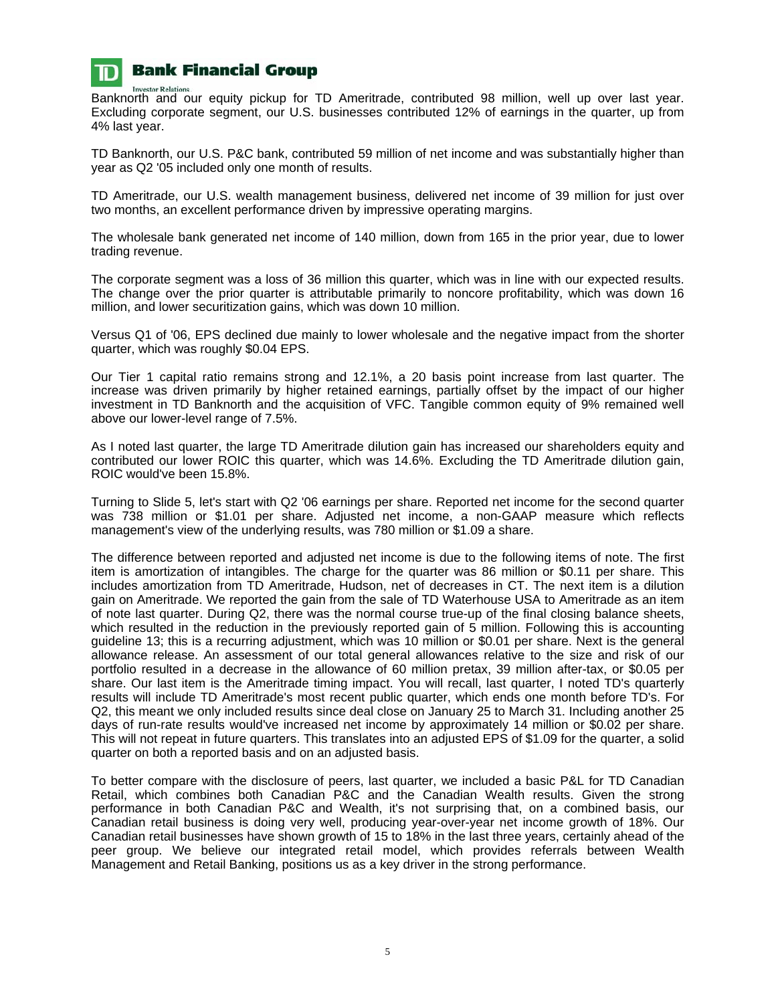

**Investor Relations** Banknorth and our equity pickup for TD Ameritrade, contributed 98 million, well up over last year. Excluding corporate segment, our U.S. businesses contributed 12% of earnings in the quarter, up from 4% last year.

TD Banknorth, our U.S. P&C bank, contributed 59 million of net income and was substantially higher than year as Q2 '05 included only one month of results.

TD Ameritrade, our U.S. wealth management business, delivered net income of 39 million for just over two months, an excellent performance driven by impressive operating margins.

The wholesale bank generated net income of 140 million, down from 165 in the prior year, due to lower trading revenue.

The corporate segment was a loss of 36 million this quarter, which was in line with our expected results. The change over the prior quarter is attributable primarily to noncore profitability, which was down 16 million, and lower securitization gains, which was down 10 million.

Versus Q1 of '06, EPS declined due mainly to lower wholesale and the negative impact from the shorter quarter, which was roughly \$0.04 EPS.

Our Tier 1 capital ratio remains strong and 12.1%, a 20 basis point increase from last quarter. The increase was driven primarily by higher retained earnings, partially offset by the impact of our higher investment in TD Banknorth and the acquisition of VFC. Tangible common equity of 9% remained well above our lower-level range of 7.5%.

As I noted last quarter, the large TD Ameritrade dilution gain has increased our shareholders equity and contributed our lower ROIC this quarter, which was 14.6%. Excluding the TD Ameritrade dilution gain, ROIC would've been 15.8%.

Turning to Slide 5, let's start with Q2 '06 earnings per share. Reported net income for the second quarter was 738 million or \$1.01 per share. Adjusted net income, a non-GAAP measure which reflects management's view of the underlying results, was 780 million or \$1.09 a share.

The difference between reported and adjusted net income is due to the following items of note. The first item is amortization of intangibles. The charge for the quarter was 86 million or \$0.11 per share. This includes amortization from TD Ameritrade, Hudson, net of decreases in CT. The next item is a dilution gain on Ameritrade. We reported the gain from the sale of TD Waterhouse USA to Ameritrade as an item of note last quarter. During Q2, there was the normal course true-up of the final closing balance sheets, which resulted in the reduction in the previously reported gain of 5 million. Following this is accounting guideline 13; this is a recurring adjustment, which was 10 million or \$0.01 per share. Next is the general allowance release. An assessment of our total general allowances relative to the size and risk of our portfolio resulted in a decrease in the allowance of 60 million pretax, 39 million after-tax, or \$0.05 per share. Our last item is the Ameritrade timing impact. You will recall, last quarter, I noted TD's quarterly results will include TD Ameritrade's most recent public quarter, which ends one month before TD's. For Q2, this meant we only included results since deal close on January 25 to March 31. Including another 25 days of run-rate results would've increased net income by approximately 14 million or \$0.02 per share. This will not repeat in future quarters. This translates into an adjusted EPS of \$1.09 for the quarter, a solid quarter on both a reported basis and on an adjusted basis.

To better compare with the disclosure of peers, last quarter, we included a basic P&L for TD Canadian Retail, which combines both Canadian P&C and the Canadian Wealth results. Given the strong performance in both Canadian P&C and Wealth, it's not surprising that, on a combined basis, our Canadian retail business is doing very well, producing year-over-year net income growth of 18%. Our Canadian retail businesses have shown growth of 15 to 18% in the last three years, certainly ahead of the peer group. We believe our integrated retail model, which provides referrals between Wealth Management and Retail Banking, positions us as a key driver in the strong performance.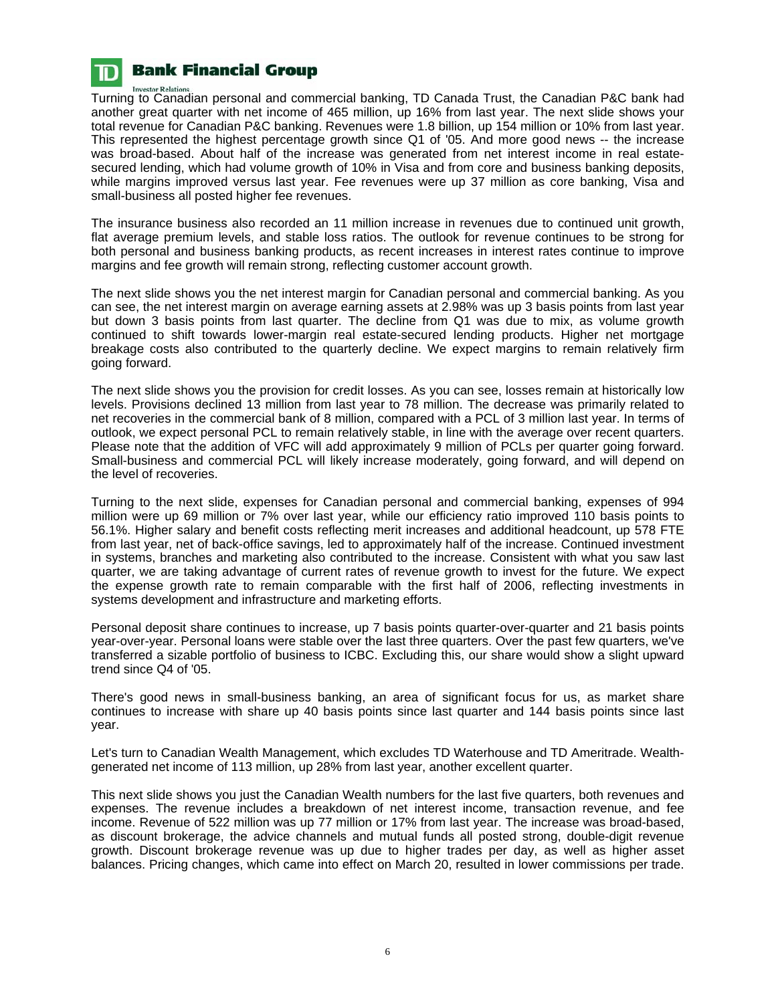

**Investor Relations** Turning to Canadian personal and commercial banking, TD Canada Trust, the Canadian P&C bank had another great quarter with net income of 465 million, up 16% from last year. The next slide shows your total revenue for Canadian P&C banking. Revenues were 1.8 billion, up 154 million or 10% from last year. This represented the highest percentage growth since Q1 of '05. And more good news -- the increase was broad-based. About half of the increase was generated from net interest income in real estatesecured lending, which had volume growth of 10% in Visa and from core and business banking deposits, while margins improved versus last year. Fee revenues were up 37 million as core banking, Visa and small-business all posted higher fee revenues.

The insurance business also recorded an 11 million increase in revenues due to continued unit growth, flat average premium levels, and stable loss ratios. The outlook for revenue continues to be strong for both personal and business banking products, as recent increases in interest rates continue to improve margins and fee growth will remain strong, reflecting customer account growth.

The next slide shows you the net interest margin for Canadian personal and commercial banking. As you can see, the net interest margin on average earning assets at 2.98% was up 3 basis points from last year but down 3 basis points from last quarter. The decline from Q1 was due to mix, as volume growth continued to shift towards lower-margin real estate-secured lending products. Higher net mortgage breakage costs also contributed to the quarterly decline. We expect margins to remain relatively firm going forward.

The next slide shows you the provision for credit losses. As you can see, losses remain at historically low levels. Provisions declined 13 million from last year to 78 million. The decrease was primarily related to net recoveries in the commercial bank of 8 million, compared with a PCL of 3 million last year. In terms of outlook, we expect personal PCL to remain relatively stable, in line with the average over recent quarters. Please note that the addition of VFC will add approximately 9 million of PCLs per quarter going forward. Small-business and commercial PCL will likely increase moderately, going forward, and will depend on the level of recoveries.

Turning to the next slide, expenses for Canadian personal and commercial banking, expenses of 994 million were up 69 million or 7% over last year, while our efficiency ratio improved 110 basis points to 56.1%. Higher salary and benefit costs reflecting merit increases and additional headcount, up 578 FTE from last year, net of back-office savings, led to approximately half of the increase. Continued investment in systems, branches and marketing also contributed to the increase. Consistent with what you saw last quarter, we are taking advantage of current rates of revenue growth to invest for the future. We expect the expense growth rate to remain comparable with the first half of 2006, reflecting investments in systems development and infrastructure and marketing efforts.

Personal deposit share continues to increase, up 7 basis points quarter-over-quarter and 21 basis points year-over-year. Personal loans were stable over the last three quarters. Over the past few quarters, we've transferred a sizable portfolio of business to ICBC. Excluding this, our share would show a slight upward trend since Q4 of '05.

There's good news in small-business banking, an area of significant focus for us, as market share continues to increase with share up 40 basis points since last quarter and 144 basis points since last year.

Let's turn to Canadian Wealth Management, which excludes TD Waterhouse and TD Ameritrade. Wealthgenerated net income of 113 million, up 28% from last year, another excellent quarter.

This next slide shows you just the Canadian Wealth numbers for the last five quarters, both revenues and expenses. The revenue includes a breakdown of net interest income, transaction revenue, and fee income. Revenue of 522 million was up 77 million or 17% from last year. The increase was broad-based, as discount brokerage, the advice channels and mutual funds all posted strong, double-digit revenue growth. Discount brokerage revenue was up due to higher trades per day, as well as higher asset balances. Pricing changes, which came into effect on March 20, resulted in lower commissions per trade.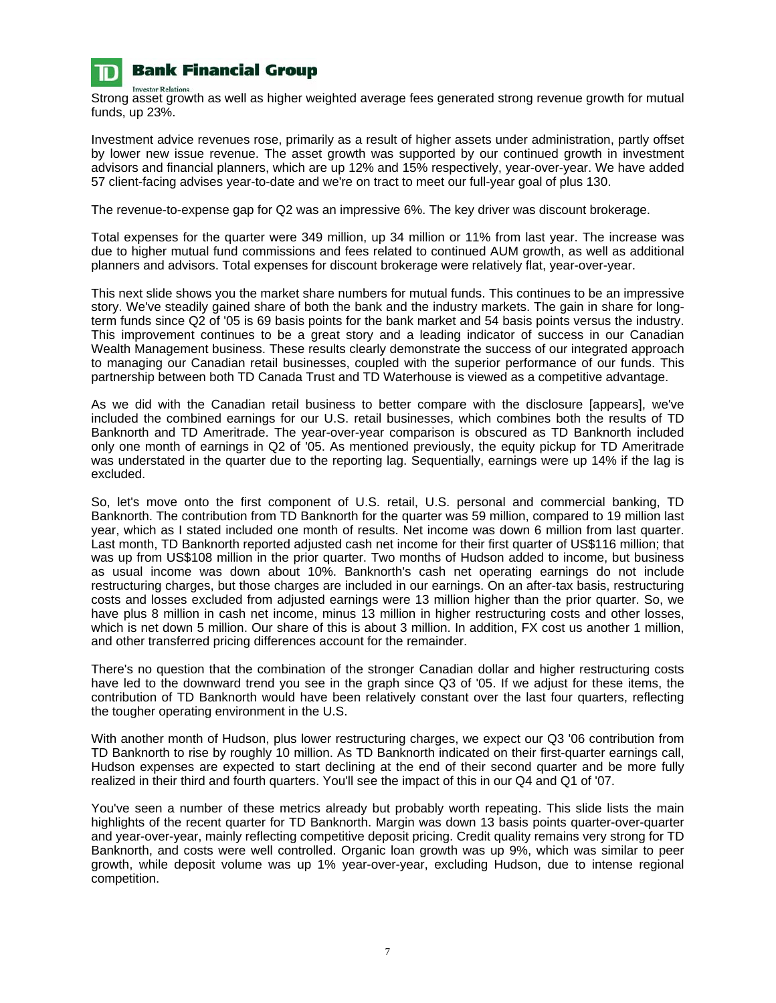

**Investor Relations** Strong asset growth as well as higher weighted average fees generated strong revenue growth for mutual funds, up 23%.

Investment advice revenues rose, primarily as a result of higher assets under administration, partly offset by lower new issue revenue. The asset growth was supported by our continued growth in investment advisors and financial planners, which are up 12% and 15% respectively, year-over-year. We have added 57 client-facing advises year-to-date and we're on tract to meet our full-year goal of plus 130.

The revenue-to-expense gap for Q2 was an impressive 6%. The key driver was discount brokerage.

Total expenses for the quarter were 349 million, up 34 million or 11% from last year. The increase was due to higher mutual fund commissions and fees related to continued AUM growth, as well as additional planners and advisors. Total expenses for discount brokerage were relatively flat, year-over-year.

This next slide shows you the market share numbers for mutual funds. This continues to be an impressive story. We've steadily gained share of both the bank and the industry markets. The gain in share for longterm funds since Q2 of '05 is 69 basis points for the bank market and 54 basis points versus the industry. This improvement continues to be a great story and a leading indicator of success in our Canadian Wealth Management business. These results clearly demonstrate the success of our integrated approach to managing our Canadian retail businesses, coupled with the superior performance of our funds. This partnership between both TD Canada Trust and TD Waterhouse is viewed as a competitive advantage.

As we did with the Canadian retail business to better compare with the disclosure [appears], we've included the combined earnings for our U.S. retail businesses, which combines both the results of TD Banknorth and TD Ameritrade. The year-over-year comparison is obscured as TD Banknorth included only one month of earnings in Q2 of '05. As mentioned previously, the equity pickup for TD Ameritrade was understated in the quarter due to the reporting lag. Sequentially, earnings were up 14% if the lag is excluded.

So, let's move onto the first component of U.S. retail, U.S. personal and commercial banking, TD Banknorth. The contribution from TD Banknorth for the quarter was 59 million, compared to 19 million last year, which as I stated included one month of results. Net income was down 6 million from last quarter. Last month, TD Banknorth reported adjusted cash net income for their first quarter of US\$116 million; that was up from US\$108 million in the prior quarter. Two months of Hudson added to income, but business as usual income was down about 10%. Banknorth's cash net operating earnings do not include restructuring charges, but those charges are included in our earnings. On an after-tax basis, restructuring costs and losses excluded from adjusted earnings were 13 million higher than the prior quarter. So, we have plus 8 million in cash net income, minus 13 million in higher restructuring costs and other losses, which is net down 5 million. Our share of this is about 3 million. In addition, FX cost us another 1 million, and other transferred pricing differences account for the remainder.

There's no question that the combination of the stronger Canadian dollar and higher restructuring costs have led to the downward trend you see in the graph since Q3 of '05. If we adjust for these items, the contribution of TD Banknorth would have been relatively constant over the last four quarters, reflecting the tougher operating environment in the U.S.

With another month of Hudson, plus lower restructuring charges, we expect our Q3 '06 contribution from TD Banknorth to rise by roughly 10 million. As TD Banknorth indicated on their first-quarter earnings call, Hudson expenses are expected to start declining at the end of their second quarter and be more fully realized in their third and fourth quarters. You'll see the impact of this in our Q4 and Q1 of '07.

You've seen a number of these metrics already but probably worth repeating. This slide lists the main highlights of the recent quarter for TD Banknorth. Margin was down 13 basis points quarter-over-quarter and year-over-year, mainly reflecting competitive deposit pricing. Credit quality remains very strong for TD Banknorth, and costs were well controlled. Organic loan growth was up 9%, which was similar to peer growth, while deposit volume was up 1% year-over-year, excluding Hudson, due to intense regional competition.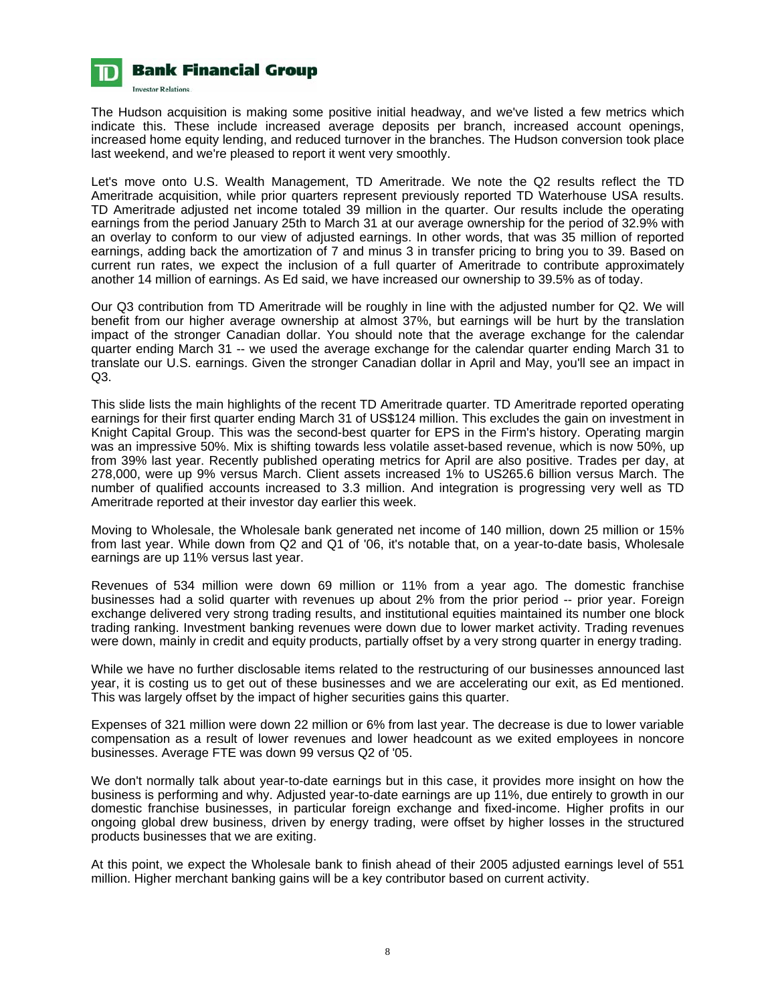

The Hudson acquisition is making some positive initial headway, and we've listed a few metrics which indicate this. These include increased average deposits per branch, increased account openings, increased home equity lending, and reduced turnover in the branches. The Hudson conversion took place last weekend, and we're pleased to report it went very smoothly.

Let's move onto U.S. Wealth Management, TD Ameritrade. We note the Q2 results reflect the TD Ameritrade acquisition, while prior quarters represent previously reported TD Waterhouse USA results. TD Ameritrade adjusted net income totaled 39 million in the quarter. Our results include the operating earnings from the period January 25th to March 31 at our average ownership for the period of 32.9% with an overlay to conform to our view of adjusted earnings. In other words, that was 35 million of reported earnings, adding back the amortization of 7 and minus 3 in transfer pricing to bring you to 39. Based on current run rates, we expect the inclusion of a full quarter of Ameritrade to contribute approximately another 14 million of earnings. As Ed said, we have increased our ownership to 39.5% as of today.

Our Q3 contribution from TD Ameritrade will be roughly in line with the adjusted number for Q2. We will benefit from our higher average ownership at almost 37%, but earnings will be hurt by the translation impact of the stronger Canadian dollar. You should note that the average exchange for the calendar quarter ending March 31 -- we used the average exchange for the calendar quarter ending March 31 to translate our U.S. earnings. Given the stronger Canadian dollar in April and May, you'll see an impact in Q3.

This slide lists the main highlights of the recent TD Ameritrade quarter. TD Ameritrade reported operating earnings for their first quarter ending March 31 of US\$124 million. This excludes the gain on investment in Knight Capital Group. This was the second-best quarter for EPS in the Firm's history. Operating margin was an impressive 50%. Mix is shifting towards less volatile asset-based revenue, which is now 50%, up from 39% last year. Recently published operating metrics for April are also positive. Trades per day, at 278,000, were up 9% versus March. Client assets increased 1% to US265.6 billion versus March. The number of qualified accounts increased to 3.3 million. And integration is progressing very well as TD Ameritrade reported at their investor day earlier this week.

Moving to Wholesale, the Wholesale bank generated net income of 140 million, down 25 million or 15% from last year. While down from Q2 and Q1 of '06, it's notable that, on a year-to-date basis, Wholesale earnings are up 11% versus last year.

Revenues of 534 million were down 69 million or 11% from a year ago. The domestic franchise businesses had a solid quarter with revenues up about 2% from the prior period -- prior year. Foreign exchange delivered very strong trading results, and institutional equities maintained its number one block trading ranking. Investment banking revenues were down due to lower market activity. Trading revenues were down, mainly in credit and equity products, partially offset by a very strong quarter in energy trading.

While we have no further disclosable items related to the restructuring of our businesses announced last year, it is costing us to get out of these businesses and we are accelerating our exit, as Ed mentioned. This was largely offset by the impact of higher securities gains this quarter.

Expenses of 321 million were down 22 million or 6% from last year. The decrease is due to lower variable compensation as a result of lower revenues and lower headcount as we exited employees in noncore businesses. Average FTE was down 99 versus Q2 of '05.

We don't normally talk about year-to-date earnings but in this case, it provides more insight on how the business is performing and why. Adjusted year-to-date earnings are up 11%, due entirely to growth in our domestic franchise businesses, in particular foreign exchange and fixed-income. Higher profits in our ongoing global drew business, driven by energy trading, were offset by higher losses in the structured products businesses that we are exiting.

At this point, we expect the Wholesale bank to finish ahead of their 2005 adjusted earnings level of 551 million. Higher merchant banking gains will be a key contributor based on current activity.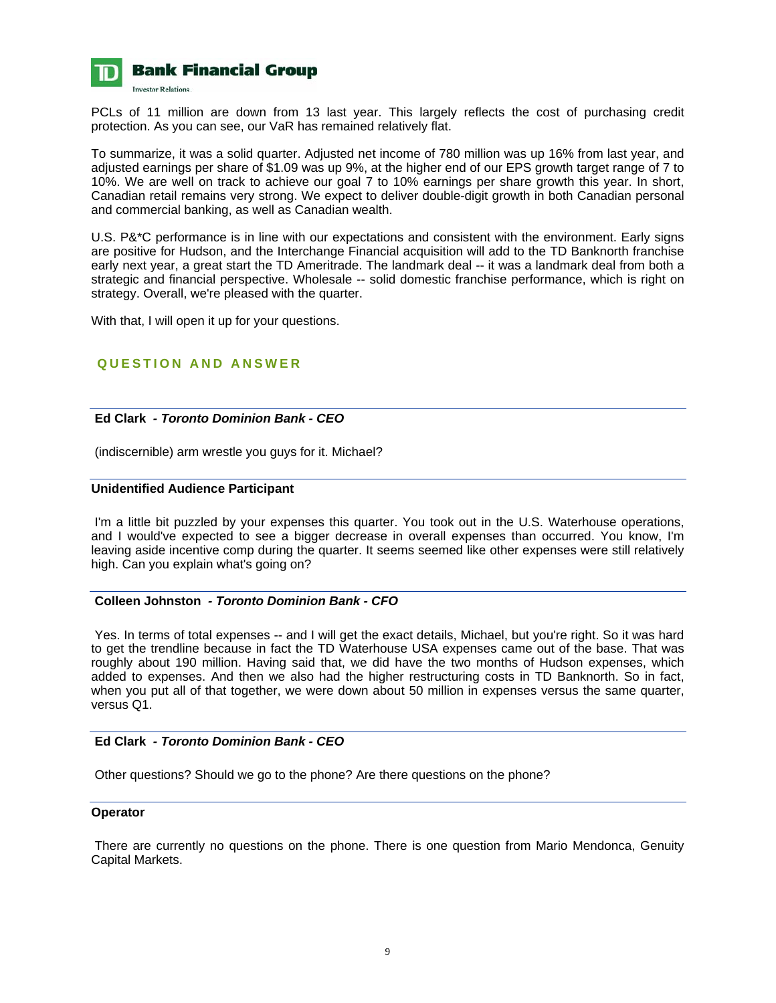

PCLs of 11 million are down from 13 last year. This largely reflects the cost of purchasing credit protection. As you can see, our VaR has remained relatively flat.

To summarize, it was a solid quarter. Adjusted net income of 780 million was up 16% from last year, and adjusted earnings per share of \$1.09 was up 9%, at the higher end of our EPS growth target range of 7 to 10%. We are well on track to achieve our goal 7 to 10% earnings per share growth this year. In short, Canadian retail remains very strong. We expect to deliver double-digit growth in both Canadian personal and commercial banking, as well as Canadian wealth.

U.S. P&\*C performance is in line with our expectations and consistent with the environment. Early signs are positive for Hudson, and the Interchange Financial acquisition will add to the TD Banknorth franchise early next year, a great start the TD Ameritrade. The landmark deal -- it was a landmark deal from both a strategic and financial perspective. Wholesale -- solid domestic franchise performance, which is right on strategy. Overall, we're pleased with the quarter.

With that, I will open it up for your questions.

## **QUESTION AND ANSWER**

#### **Ed Clark** *- Toronto Dominion Bank - CEO*

(indiscernible) arm wrestle you guys for it. Michael?

#### **Unidentified Audience Participant**

 I'm a little bit puzzled by your expenses this quarter. You took out in the U.S. Waterhouse operations, and I would've expected to see a bigger decrease in overall expenses than occurred. You know, I'm leaving aside incentive comp during the quarter. It seems seemed like other expenses were still relatively high. Can you explain what's going on?

#### **Colleen Johnston** *- Toronto Dominion Bank - CFO*

 Yes. In terms of total expenses -- and I will get the exact details, Michael, but you're right. So it was hard to get the trendline because in fact the TD Waterhouse USA expenses came out of the base. That was roughly about 190 million. Having said that, we did have the two months of Hudson expenses, which added to expenses. And then we also had the higher restructuring costs in TD Banknorth. So in fact, when you put all of that together, we were down about 50 million in expenses versus the same quarter, versus Q1.

## **Ed Clark** *- Toronto Dominion Bank - CEO*

Other questions? Should we go to the phone? Are there questions on the phone?

#### **Operator**

 There are currently no questions on the phone. There is one question from Mario Mendonca, Genuity Capital Markets.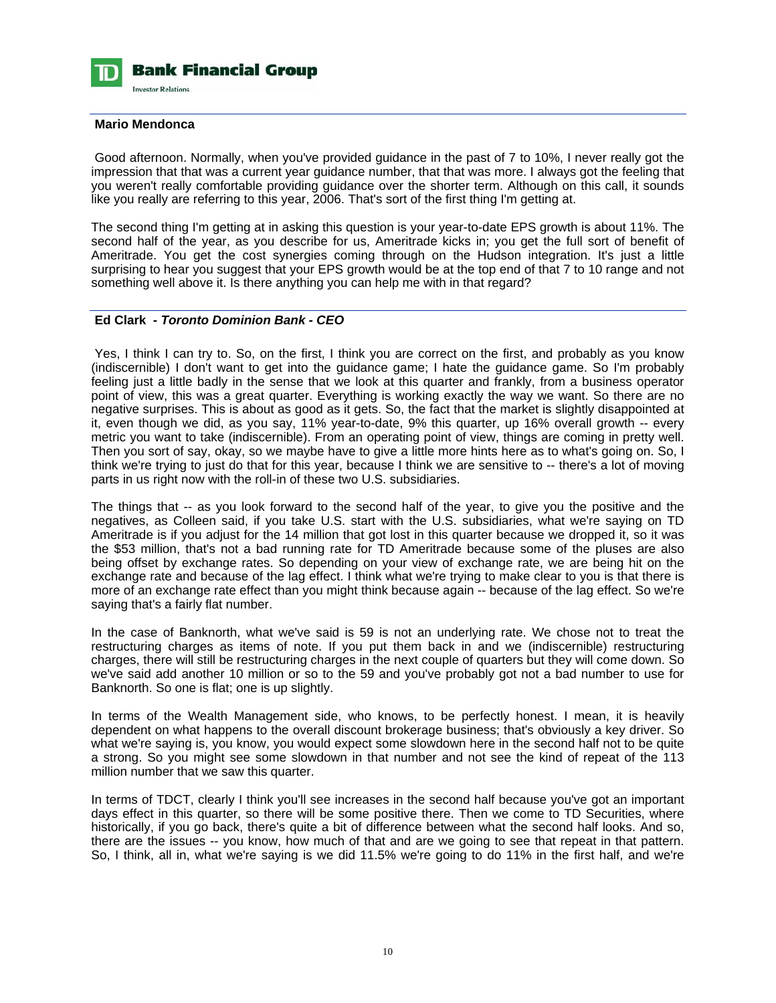

#### **Mario Mendonca**

 Good afternoon. Normally, when you've provided guidance in the past of 7 to 10%, I never really got the impression that that was a current year guidance number, that that was more. I always got the feeling that you weren't really comfortable providing guidance over the shorter term. Although on this call, it sounds like you really are referring to this year, 2006. That's sort of the first thing I'm getting at.

The second thing I'm getting at in asking this question is your year-to-date EPS growth is about 11%. The second half of the year, as you describe for us, Ameritrade kicks in; you get the full sort of benefit of Ameritrade. You get the cost synergies coming through on the Hudson integration. It's just a little surprising to hear you suggest that your EPS growth would be at the top end of that 7 to 10 range and not something well above it. Is there anything you can help me with in that regard?

## **Ed Clark** *- Toronto Dominion Bank - CEO*

 Yes, I think I can try to. So, on the first, I think you are correct on the first, and probably as you know (indiscernible) I don't want to get into the guidance game; I hate the guidance game. So I'm probably feeling just a little badly in the sense that we look at this quarter and frankly, from a business operator point of view, this was a great quarter. Everything is working exactly the way we want. So there are no negative surprises. This is about as good as it gets. So, the fact that the market is slightly disappointed at it, even though we did, as you say, 11% year-to-date, 9% this quarter, up 16% overall growth -- every metric you want to take (indiscernible). From an operating point of view, things are coming in pretty well. Then you sort of say, okay, so we maybe have to give a little more hints here as to what's going on. So, I think we're trying to just do that for this year, because I think we are sensitive to -- there's a lot of moving parts in us right now with the roll-in of these two U.S. subsidiaries.

The things that -- as you look forward to the second half of the year, to give you the positive and the negatives, as Colleen said, if you take U.S. start with the U.S. subsidiaries, what we're saying on TD Ameritrade is if you adjust for the 14 million that got lost in this quarter because we dropped it, so it was the \$53 million, that's not a bad running rate for TD Ameritrade because some of the pluses are also being offset by exchange rates. So depending on your view of exchange rate, we are being hit on the exchange rate and because of the lag effect. I think what we're trying to make clear to you is that there is more of an exchange rate effect than you might think because again -- because of the lag effect. So we're saying that's a fairly flat number.

In the case of Banknorth, what we've said is 59 is not an underlying rate. We chose not to treat the restructuring charges as items of note. If you put them back in and we (indiscernible) restructuring charges, there will still be restructuring charges in the next couple of quarters but they will come down. So we've said add another 10 million or so to the 59 and you've probably got not a bad number to use for Banknorth. So one is flat; one is up slightly.

In terms of the Wealth Management side, who knows, to be perfectly honest. I mean, it is heavily dependent on what happens to the overall discount brokerage business; that's obviously a key driver. So what we're saying is, you know, you would expect some slowdown here in the second half not to be quite a strong. So you might see some slowdown in that number and not see the kind of repeat of the 113 million number that we saw this quarter.

In terms of TDCT, clearly I think you'll see increases in the second half because you've got an important days effect in this quarter, so there will be some positive there. Then we come to TD Securities, where historically, if you go back, there's quite a bit of difference between what the second half looks. And so, there are the issues -- you know, how much of that and are we going to see that repeat in that pattern. So, I think, all in, what we're saying is we did 11.5% we're going to do 11% in the first half, and we're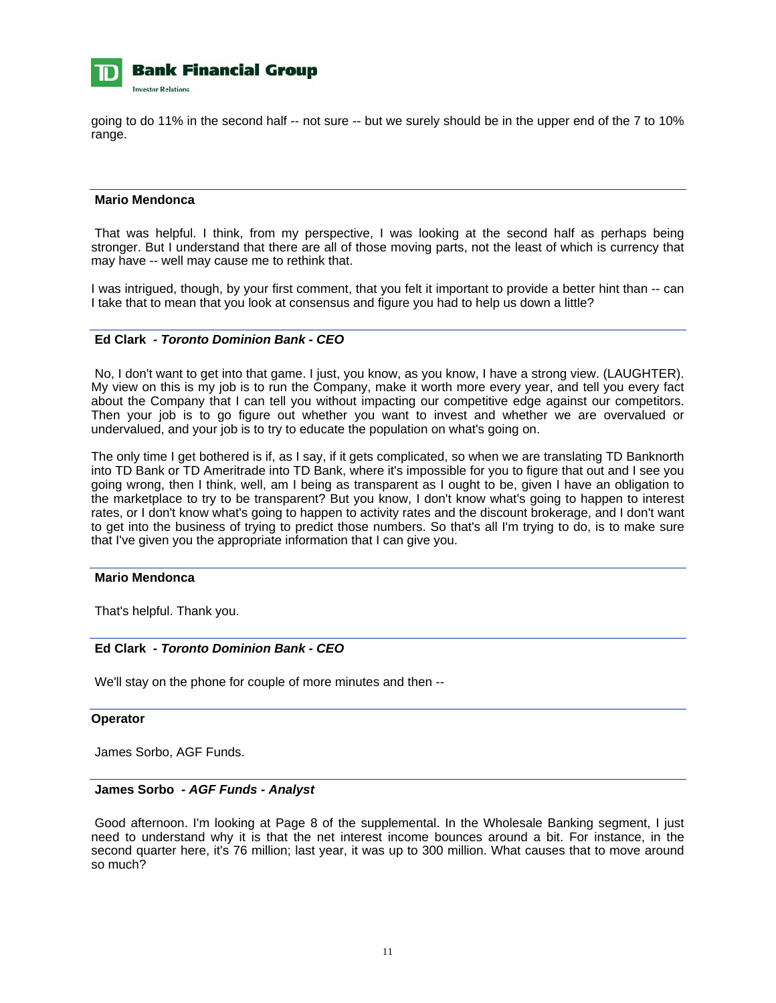

going to do 11% in the second half -- not sure -- but we surely should be in the upper end of the 7 to 10% range.

## **Mario Mendonca**

 That was helpful. I think, from my perspective, I was looking at the second half as perhaps being stronger. But I understand that there are all of those moving parts, not the least of which is currency that may have -- well may cause me to rethink that.

I was intrigued, though, by your first comment, that you felt it important to provide a better hint than -- can I take that to mean that you look at consensus and figure you had to help us down a little?

#### **Ed Clark** *- Toronto Dominion Bank - CEO*

 No, I don't want to get into that game. I just, you know, as you know, I have a strong view. (LAUGHTER). My view on this is my job is to run the Company, make it worth more every year, and tell you every fact about the Company that I can tell you without impacting our competitive edge against our competitors. Then your job is to go figure out whether you want to invest and whether we are overvalued or undervalued, and your job is to try to educate the population on what's going on.

The only time I get bothered is if, as I say, if it gets complicated, so when we are translating TD Banknorth into TD Bank or TD Ameritrade into TD Bank, where it's impossible for you to figure that out and I see you going wrong, then I think, well, am I being as transparent as I ought to be, given I have an obligation to the marketplace to try to be transparent? But you know, I don't know what's going to happen to interest rates, or I don't know what's going to happen to activity rates and the discount brokerage, and I don't want to get into the business of trying to predict those numbers. So that's all I'm trying to do, is to make sure that I've given you the appropriate information that I can give you.

#### **Mario Mendonca**

That's helpful. Thank you.

#### **Ed Clark** *- Toronto Dominion Bank - CEO*

We'll stay on the phone for couple of more minutes and then --

#### **Operator**

James Sorbo, AGF Funds.

#### **James Sorbo** *- AGF Funds - Analyst*

 Good afternoon. I'm looking at Page 8 of the supplemental. In the Wholesale Banking segment, I just need to understand why it is that the net interest income bounces around a bit. For instance, in the second quarter here, it's 76 million; last year, it was up to 300 million. What causes that to move around so much?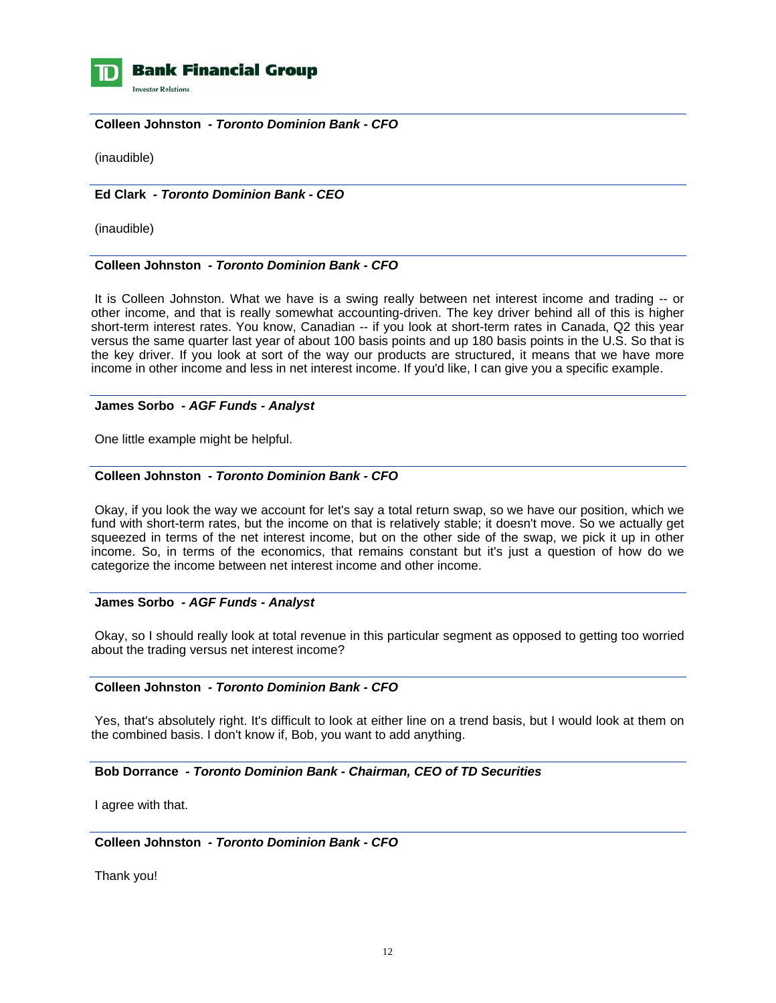

**Investor Relations** 

#### **Colleen Johnston** *- Toronto Dominion Bank - CFO*

(inaudible)

## **Ed Clark** *- Toronto Dominion Bank - CEO*

(inaudible)

#### **Colleen Johnston** *- Toronto Dominion Bank - CFO*

 It is Colleen Johnston. What we have is a swing really between net interest income and trading -- or other income, and that is really somewhat accounting-driven. The key driver behind all of this is higher short-term interest rates. You know, Canadian -- if you look at short-term rates in Canada, Q2 this year versus the same quarter last year of about 100 basis points and up 180 basis points in the U.S. So that is the key driver. If you look at sort of the way our products are structured, it means that we have more income in other income and less in net interest income. If you'd like, I can give you a specific example.

#### **James Sorbo** *- AGF Funds - Analyst*

One little example might be helpful.

#### **Colleen Johnston** *- Toronto Dominion Bank - CFO*

 Okay, if you look the way we account for let's say a total return swap, so we have our position, which we fund with short-term rates, but the income on that is relatively stable; it doesn't move. So we actually get squeezed in terms of the net interest income, but on the other side of the swap, we pick it up in other income. So, in terms of the economics, that remains constant but it's just a question of how do we categorize the income between net interest income and other income.

#### **James Sorbo** *- AGF Funds - Analyst*

 Okay, so I should really look at total revenue in this particular segment as opposed to getting too worried about the trading versus net interest income?

## **Colleen Johnston** *- Toronto Dominion Bank - CFO*

 Yes, that's absolutely right. It's difficult to look at either line on a trend basis, but I would look at them on the combined basis. I don't know if, Bob, you want to add anything.

## **Bob Dorrance** *- Toronto Dominion Bank - Chairman, CEO of TD Securities*

I agree with that.

## **Colleen Johnston** *- Toronto Dominion Bank - CFO*

Thank you!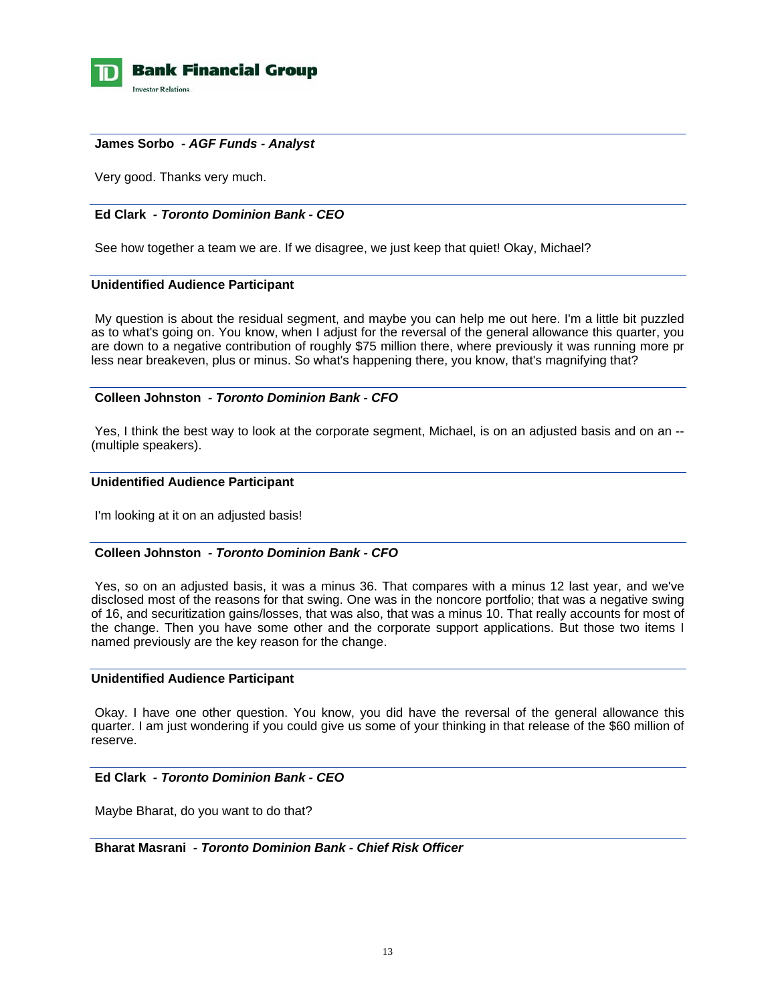

#### **James Sorbo** *- AGF Funds - Analyst*

Very good. Thanks very much.

## **Ed Clark** *- Toronto Dominion Bank - CEO*

See how together a team we are. If we disagree, we just keep that quiet! Okay, Michael?

#### **Unidentified Audience Participant**

 My question is about the residual segment, and maybe you can help me out here. I'm a little bit puzzled as to what's going on. You know, when I adjust for the reversal of the general allowance this quarter, you are down to a negative contribution of roughly \$75 million there, where previously it was running more pr less near breakeven, plus or minus. So what's happening there, you know, that's magnifying that?

#### **Colleen Johnston** *- Toronto Dominion Bank - CFO*

Yes, I think the best way to look at the corporate segment, Michael, is on an adjusted basis and on an --(multiple speakers).

#### **Unidentified Audience Participant**

I'm looking at it on an adjusted basis!

## **Colleen Johnston** *- Toronto Dominion Bank - CFO*

 Yes, so on an adjusted basis, it was a minus 36. That compares with a minus 12 last year, and we've disclosed most of the reasons for that swing. One was in the noncore portfolio; that was a negative swing of 16, and securitization gains/losses, that was also, that was a minus 10. That really accounts for most of the change. Then you have some other and the corporate support applications. But those two items I named previously are the key reason for the change.

#### **Unidentified Audience Participant**

 Okay. I have one other question. You know, you did have the reversal of the general allowance this quarter. I am just wondering if you could give us some of your thinking in that release of the \$60 million of reserve.

## **Ed Clark** *- Toronto Dominion Bank - CEO*

Maybe Bharat, do you want to do that?

#### **Bharat Masrani** *- Toronto Dominion Bank - Chief Risk Officer*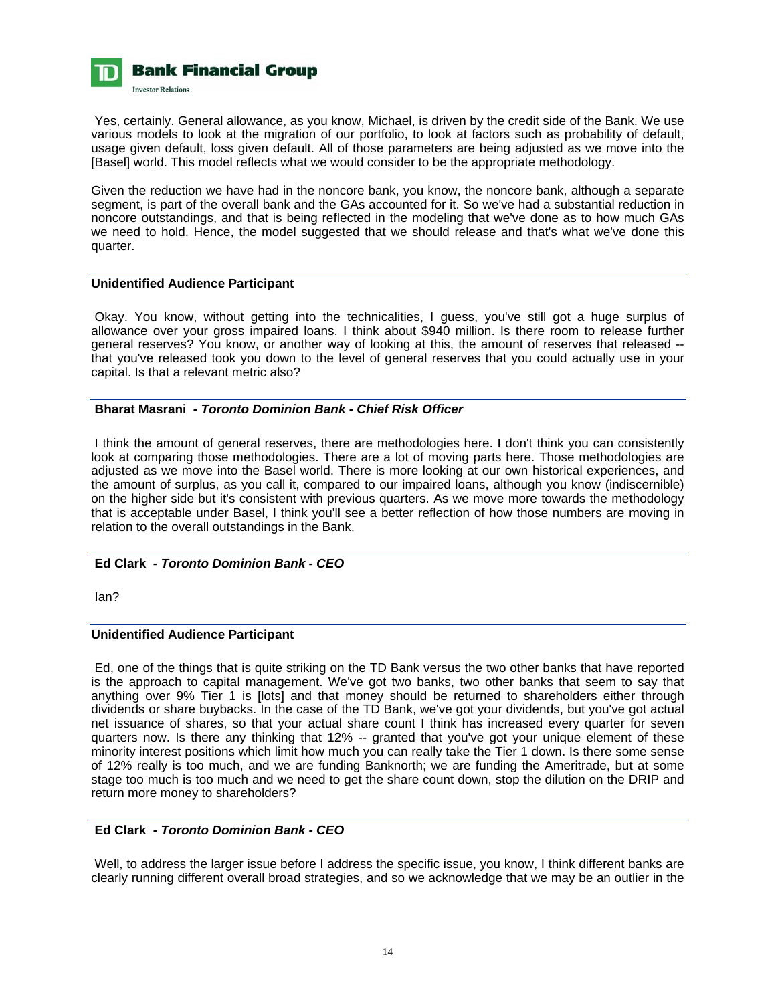

 Yes, certainly. General allowance, as you know, Michael, is driven by the credit side of the Bank. We use various models to look at the migration of our portfolio, to look at factors such as probability of default, usage given default, loss given default. All of those parameters are being adjusted as we move into the [Basel] world. This model reflects what we would consider to be the appropriate methodology.

Given the reduction we have had in the noncore bank, you know, the noncore bank, although a separate segment, is part of the overall bank and the GAs accounted for it. So we've had a substantial reduction in noncore outstandings, and that is being reflected in the modeling that we've done as to how much GAs we need to hold. Hence, the model suggested that we should release and that's what we've done this quarter.

#### **Unidentified Audience Participant**

 Okay. You know, without getting into the technicalities, I guess, you've still got a huge surplus of allowance over your gross impaired loans. I think about \$940 million. Is there room to release further general reserves? You know, or another way of looking at this, the amount of reserves that released - that you've released took you down to the level of general reserves that you could actually use in your capital. Is that a relevant metric also?

#### **Bharat Masrani** *- Toronto Dominion Bank - Chief Risk Officer*

 I think the amount of general reserves, there are methodologies here. I don't think you can consistently look at comparing those methodologies. There are a lot of moving parts here. Those methodologies are adjusted as we move into the Basel world. There is more looking at our own historical experiences, and the amount of surplus, as you call it, compared to our impaired loans, although you know (indiscernible) on the higher side but it's consistent with previous quarters. As we move more towards the methodology that is acceptable under Basel, I think you'll see a better reflection of how those numbers are moving in relation to the overall outstandings in the Bank.

## **Ed Clark** *- Toronto Dominion Bank - CEO*

Ian?

## **Unidentified Audience Participant**

 Ed, one of the things that is quite striking on the TD Bank versus the two other banks that have reported is the approach to capital management. We've got two banks, two other banks that seem to say that anything over 9% Tier 1 is [lots] and that money should be returned to shareholders either through dividends or share buybacks. In the case of the TD Bank, we've got your dividends, but you've got actual net issuance of shares, so that your actual share count I think has increased every quarter for seven quarters now. Is there any thinking that 12% -- granted that you've got your unique element of these minority interest positions which limit how much you can really take the Tier 1 down. Is there some sense of 12% really is too much, and we are funding Banknorth; we are funding the Ameritrade, but at some stage too much is too much and we need to get the share count down, stop the dilution on the DRIP and return more money to shareholders?

## **Ed Clark** *- Toronto Dominion Bank - CEO*

 Well, to address the larger issue before I address the specific issue, you know, I think different banks are clearly running different overall broad strategies, and so we acknowledge that we may be an outlier in the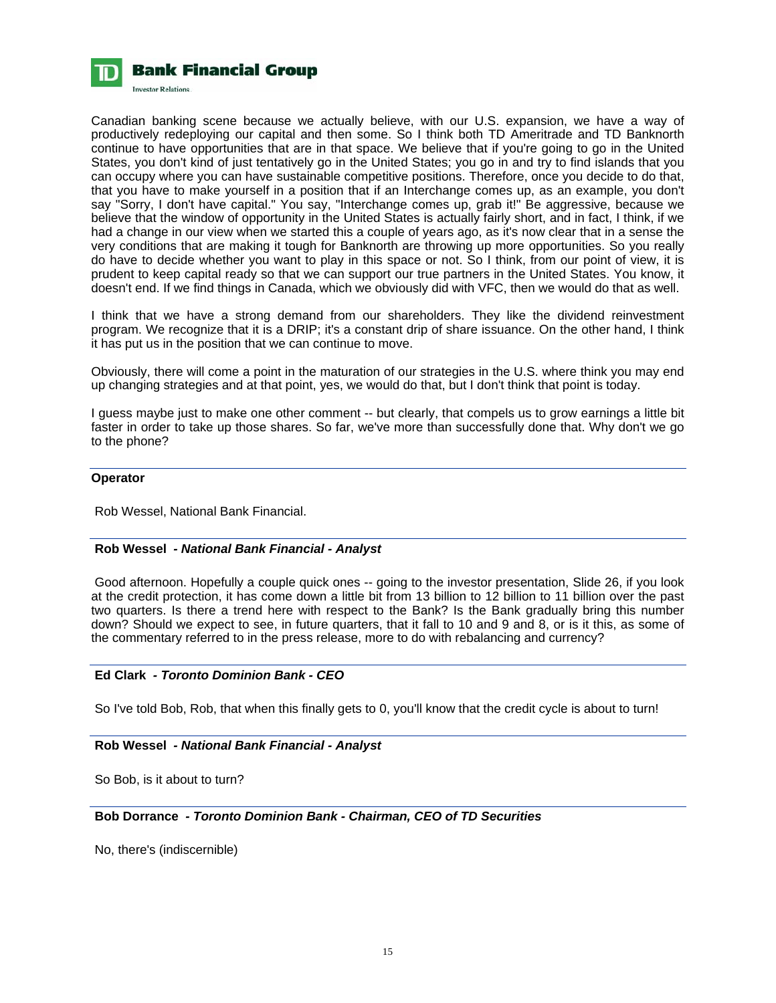

Canadian banking scene because we actually believe, with our U.S. expansion, we have a way of productively redeploying our capital and then some. So I think both TD Ameritrade and TD Banknorth continue to have opportunities that are in that space. We believe that if you're going to go in the United States, you don't kind of just tentatively go in the United States; you go in and try to find islands that you can occupy where you can have sustainable competitive positions. Therefore, once you decide to do that, that you have to make yourself in a position that if an Interchange comes up, as an example, you don't say "Sorry, I don't have capital." You say, "Interchange comes up, grab it!" Be aggressive, because we believe that the window of opportunity in the United States is actually fairly short, and in fact, I think, if we had a change in our view when we started this a couple of years ago, as it's now clear that in a sense the very conditions that are making it tough for Banknorth are throwing up more opportunities. So you really do have to decide whether you want to play in this space or not. So I think, from our point of view, it is prudent to keep capital ready so that we can support our true partners in the United States. You know, it doesn't end. If we find things in Canada, which we obviously did with VFC, then we would do that as well.

I think that we have a strong demand from our shareholders. They like the dividend reinvestment program. We recognize that it is a DRIP; it's a constant drip of share issuance. On the other hand, I think it has put us in the position that we can continue to move.

Obviously, there will come a point in the maturation of our strategies in the U.S. where think you may end up changing strategies and at that point, yes, we would do that, but I don't think that point is today.

I guess maybe just to make one other comment -- but clearly, that compels us to grow earnings a little bit faster in order to take up those shares. So far, we've more than successfully done that. Why don't we go to the phone?

#### **Operator**

Rob Wessel, National Bank Financial.

## **Rob Wessel** *- National Bank Financial - Analyst*

 Good afternoon. Hopefully a couple quick ones -- going to the investor presentation, Slide 26, if you look at the credit protection, it has come down a little bit from 13 billion to 12 billion to 11 billion over the past two quarters. Is there a trend here with respect to the Bank? Is the Bank gradually bring this number down? Should we expect to see, in future quarters, that it fall to 10 and 9 and 8, or is it this, as some of the commentary referred to in the press release, more to do with rebalancing and currency?

## **Ed Clark** *- Toronto Dominion Bank - CEO*

So I've told Bob, Rob, that when this finally gets to 0, you'll know that the credit cycle is about to turn!

## **Rob Wessel** *- National Bank Financial - Analyst*

So Bob, is it about to turn?

#### **Bob Dorrance** *- Toronto Dominion Bank - Chairman, CEO of TD Securities*

No, there's (indiscernible)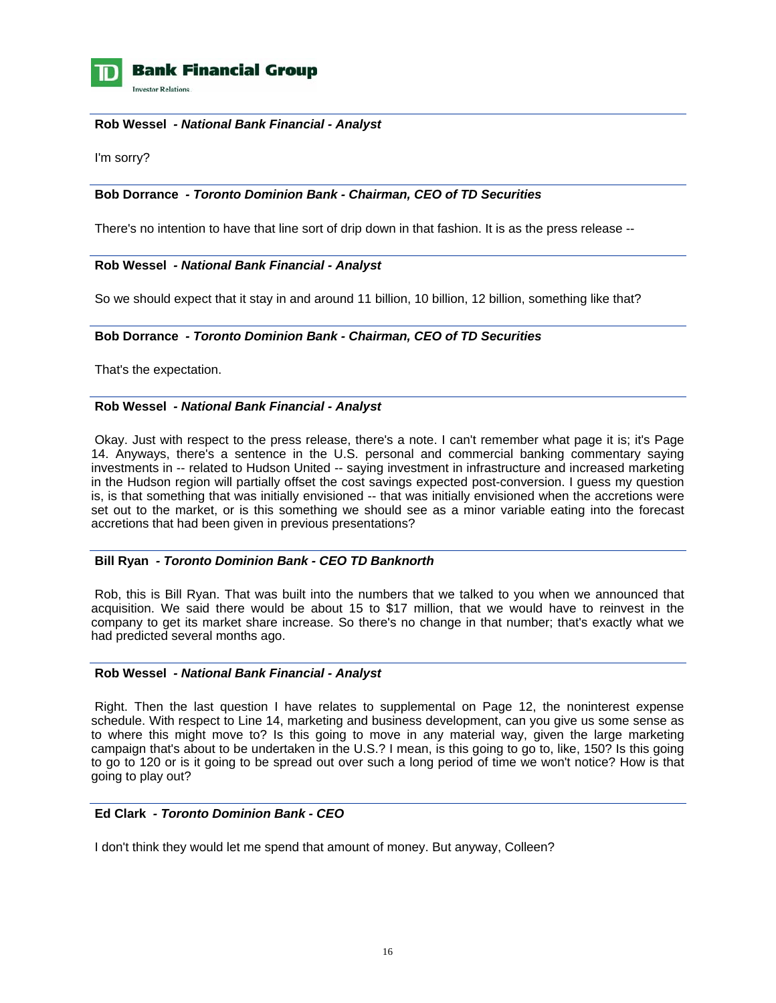

**Investor Relations** 

#### **Rob Wessel** *- National Bank Financial - Analyst*

I'm sorry?

## **Bob Dorrance** *- Toronto Dominion Bank - Chairman, CEO of TD Securities*

There's no intention to have that line sort of drip down in that fashion. It is as the press release --

## **Rob Wessel** *- National Bank Financial - Analyst*

So we should expect that it stay in and around 11 billion, 10 billion, 12 billion, something like that?

## **Bob Dorrance** *- Toronto Dominion Bank - Chairman, CEO of TD Securities*

That's the expectation.

## **Rob Wessel** *- National Bank Financial - Analyst*

 Okay. Just with respect to the press release, there's a note. I can't remember what page it is; it's Page 14. Anyways, there's a sentence in the U.S. personal and commercial banking commentary saying investments in -- related to Hudson United -- saying investment in infrastructure and increased marketing in the Hudson region will partially offset the cost savings expected post-conversion. I guess my question is, is that something that was initially envisioned -- that was initially envisioned when the accretions were set out to the market, or is this something we should see as a minor variable eating into the forecast accretions that had been given in previous presentations?

## **Bill Ryan** *- Toronto Dominion Bank - CEO TD Banknorth*

 Rob, this is Bill Ryan. That was built into the numbers that we talked to you when we announced that acquisition. We said there would be about 15 to \$17 million, that we would have to reinvest in the company to get its market share increase. So there's no change in that number; that's exactly what we had predicted several months ago.

## **Rob Wessel** *- National Bank Financial - Analyst*

 Right. Then the last question I have relates to supplemental on Page 12, the noninterest expense schedule. With respect to Line 14, marketing and business development, can you give us some sense as to where this might move to? Is this going to move in any material way, given the large marketing campaign that's about to be undertaken in the U.S.? I mean, is this going to go to, like, 150? Is this going to go to 120 or is it going to be spread out over such a long period of time we won't notice? How is that going to play out?

## **Ed Clark** *- Toronto Dominion Bank - CEO*

I don't think they would let me spend that amount of money. But anyway, Colleen?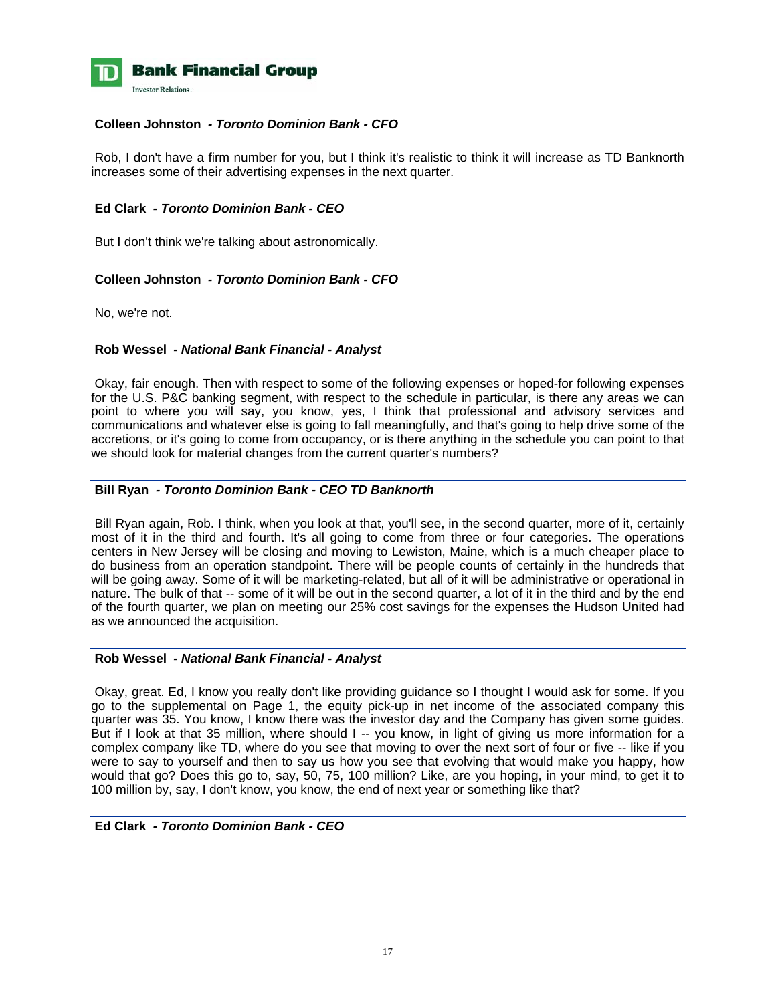

## **Colleen Johnston** *- Toronto Dominion Bank - CFO*

 Rob, I don't have a firm number for you, but I think it's realistic to think it will increase as TD Banknorth increases some of their advertising expenses in the next quarter.

## **Ed Clark** *- Toronto Dominion Bank - CEO*

But I don't think we're talking about astronomically.

## **Colleen Johnston** *- Toronto Dominion Bank - CFO*

No, we're not.

#### **Rob Wessel** *- National Bank Financial - Analyst*

 Okay, fair enough. Then with respect to some of the following expenses or hoped-for following expenses for the U.S. P&C banking segment, with respect to the schedule in particular, is there any areas we can point to where you will say, you know, yes, I think that professional and advisory services and communications and whatever else is going to fall meaningfully, and that's going to help drive some of the accretions, or it's going to come from occupancy, or is there anything in the schedule you can point to that we should look for material changes from the current quarter's numbers?

## **Bill Ryan** *- Toronto Dominion Bank - CEO TD Banknorth*

 Bill Ryan again, Rob. I think, when you look at that, you'll see, in the second quarter, more of it, certainly most of it in the third and fourth. It's all going to come from three or four categories. The operations centers in New Jersey will be closing and moving to Lewiston, Maine, which is a much cheaper place to do business from an operation standpoint. There will be people counts of certainly in the hundreds that will be going away. Some of it will be marketing-related, but all of it will be administrative or operational in nature. The bulk of that -- some of it will be out in the second quarter, a lot of it in the third and by the end of the fourth quarter, we plan on meeting our 25% cost savings for the expenses the Hudson United had as we announced the acquisition.

#### **Rob Wessel** *- National Bank Financial - Analyst*

 Okay, great. Ed, I know you really don't like providing guidance so I thought I would ask for some. If you go to the supplemental on Page 1, the equity pick-up in net income of the associated company this quarter was 35. You know, I know there was the investor day and the Company has given some guides. But if I look at that 35 million, where should I -- you know, in light of giving us more information for a complex company like TD, where do you see that moving to over the next sort of four or five -- like if you were to say to yourself and then to say us how you see that evolving that would make you happy, how would that go? Does this go to, say, 50, 75, 100 million? Like, are you hoping, in your mind, to get it to 100 million by, say, I don't know, you know, the end of next year or something like that?

#### **Ed Clark** *- Toronto Dominion Bank - CEO*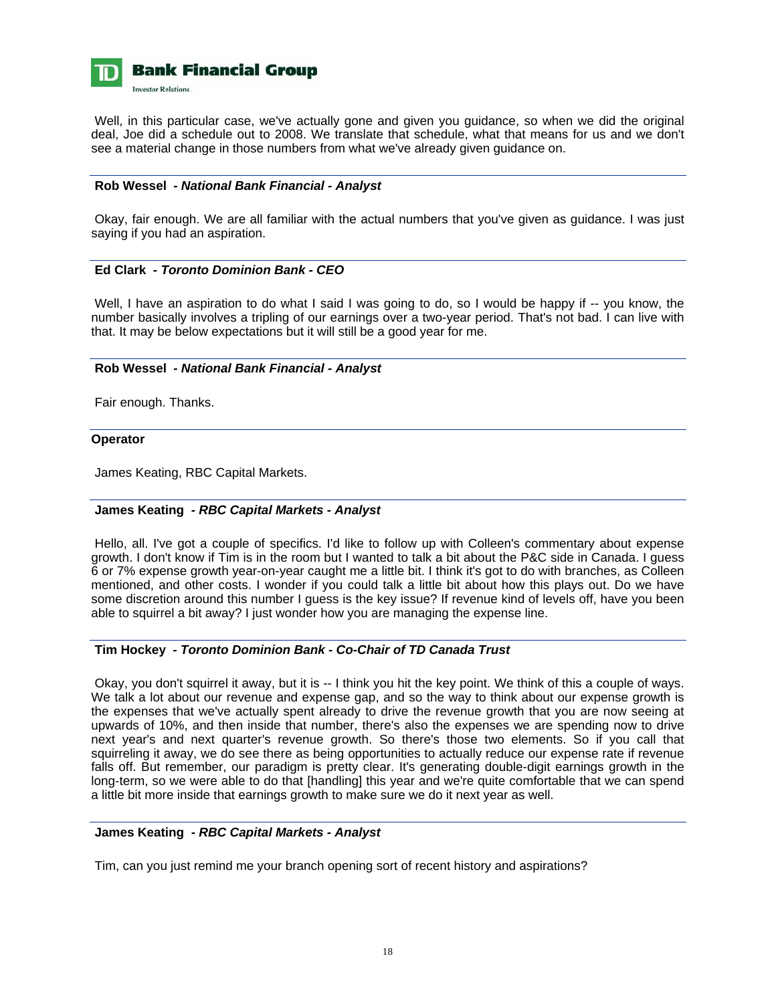

Well, in this particular case, we've actually gone and given you guidance, so when we did the original deal, Joe did a schedule out to 2008. We translate that schedule, what that means for us and we don't see a material change in those numbers from what we've already given guidance on.

## **Rob Wessel** *- National Bank Financial - Analyst*

 Okay, fair enough. We are all familiar with the actual numbers that you've given as guidance. I was just saying if you had an aspiration.

## **Ed Clark** *- Toronto Dominion Bank - CEO*

Well, I have an aspiration to do what I said I was going to do, so I would be happy if -- you know, the number basically involves a tripling of our earnings over a two-year period. That's not bad. I can live with that. It may be below expectations but it will still be a good year for me.

#### **Rob Wessel** *- National Bank Financial - Analyst*

Fair enough. Thanks.

#### **Operator**

James Keating, RBC Capital Markets.

## **James Keating** *- RBC Capital Markets - Analyst*

 Hello, all. I've got a couple of specifics. I'd like to follow up with Colleen's commentary about expense growth. I don't know if Tim is in the room but I wanted to talk a bit about the P&C side in Canada. I guess 6 or 7% expense growth year-on-year caught me a little bit. I think it's got to do with branches, as Colleen mentioned, and other costs. I wonder if you could talk a little bit about how this plays out. Do we have some discretion around this number I guess is the key issue? If revenue kind of levels off, have you been able to squirrel a bit away? I just wonder how you are managing the expense line.

#### **Tim Hockey** *- Toronto Dominion Bank - Co-Chair of TD Canada Trust*

 Okay, you don't squirrel it away, but it is -- I think you hit the key point. We think of this a couple of ways. We talk a lot about our revenue and expense gap, and so the way to think about our expense growth is the expenses that we've actually spent already to drive the revenue growth that you are now seeing at upwards of 10%, and then inside that number, there's also the expenses we are spending now to drive next year's and next quarter's revenue growth. So there's those two elements. So if you call that squirreling it away, we do see there as being opportunities to actually reduce our expense rate if revenue falls off. But remember, our paradigm is pretty clear. It's generating double-digit earnings growth in the long-term, so we were able to do that [handling] this year and we're quite comfortable that we can spend a little bit more inside that earnings growth to make sure we do it next year as well.

## **James Keating** *- RBC Capital Markets - Analyst*

Tim, can you just remind me your branch opening sort of recent history and aspirations?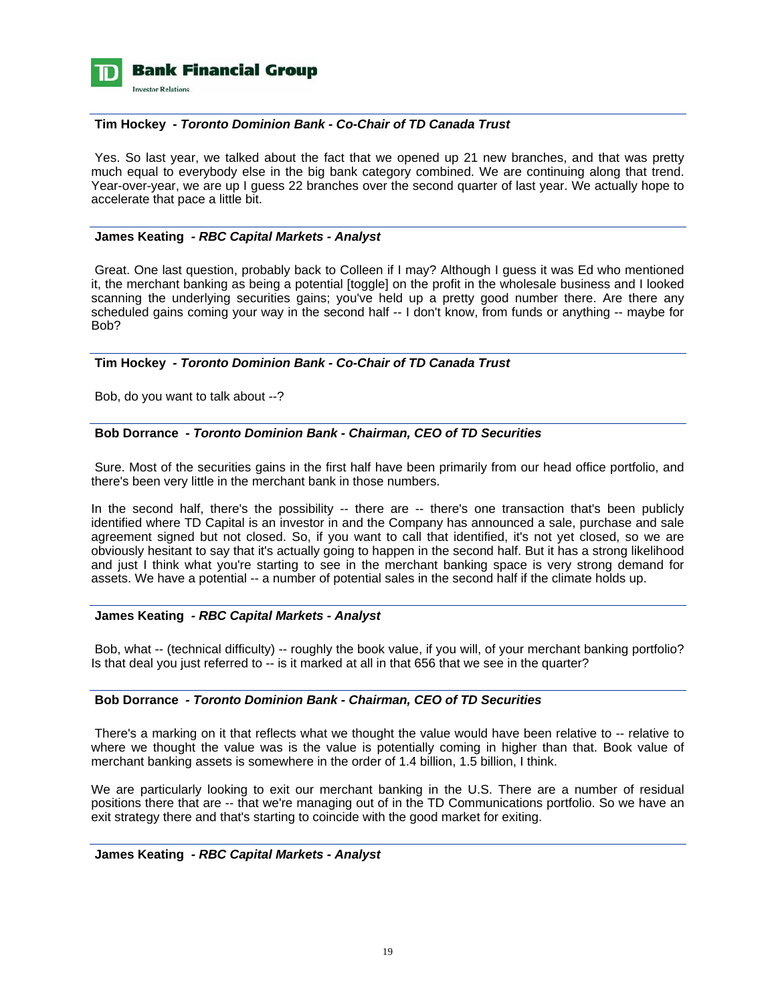

#### **Tim Hockey** *- Toronto Dominion Bank - Co-Chair of TD Canada Trust*

 Yes. So last year, we talked about the fact that we opened up 21 new branches, and that was pretty much equal to everybody else in the big bank category combined. We are continuing along that trend. Year-over-year, we are up I guess 22 branches over the second quarter of last year. We actually hope to accelerate that pace a little bit.

#### **James Keating** *- RBC Capital Markets - Analyst*

 Great. One last question, probably back to Colleen if I may? Although I guess it was Ed who mentioned it, the merchant banking as being a potential [toggle] on the profit in the wholesale business and I looked scanning the underlying securities gains; you've held up a pretty good number there. Are there any scheduled gains coming your way in the second half -- I don't know, from funds or anything -- maybe for Bob?

## **Tim Hockey** *- Toronto Dominion Bank - Co-Chair of TD Canada Trust*

Bob, do you want to talk about --?

#### **Bob Dorrance** *- Toronto Dominion Bank - Chairman, CEO of TD Securities*

 Sure. Most of the securities gains in the first half have been primarily from our head office portfolio, and there's been very little in the merchant bank in those numbers.

In the second half, there's the possibility -- there are -- there's one transaction that's been publicly identified where TD Capital is an investor in and the Company has announced a sale, purchase and sale agreement signed but not closed. So, if you want to call that identified, it's not yet closed, so we are obviously hesitant to say that it's actually going to happen in the second half. But it has a strong likelihood and just I think what you're starting to see in the merchant banking space is very strong demand for assets. We have a potential -- a number of potential sales in the second half if the climate holds up.

#### **James Keating** *- RBC Capital Markets - Analyst*

 Bob, what -- (technical difficulty) -- roughly the book value, if you will, of your merchant banking portfolio? Is that deal you just referred to -- is it marked at all in that 656 that we see in the quarter?

#### **Bob Dorrance** *- Toronto Dominion Bank - Chairman, CEO of TD Securities*

There's a marking on it that reflects what we thought the value would have been relative to -- relative to where we thought the value was is the value is potentially coming in higher than that. Book value of merchant banking assets is somewhere in the order of 1.4 billion, 1.5 billion, I think.

We are particularly looking to exit our merchant banking in the U.S. There are a number of residual positions there that are -- that we're managing out of in the TD Communications portfolio. So we have an exit strategy there and that's starting to coincide with the good market for exiting.

#### **James Keating** *- RBC Capital Markets - Analyst*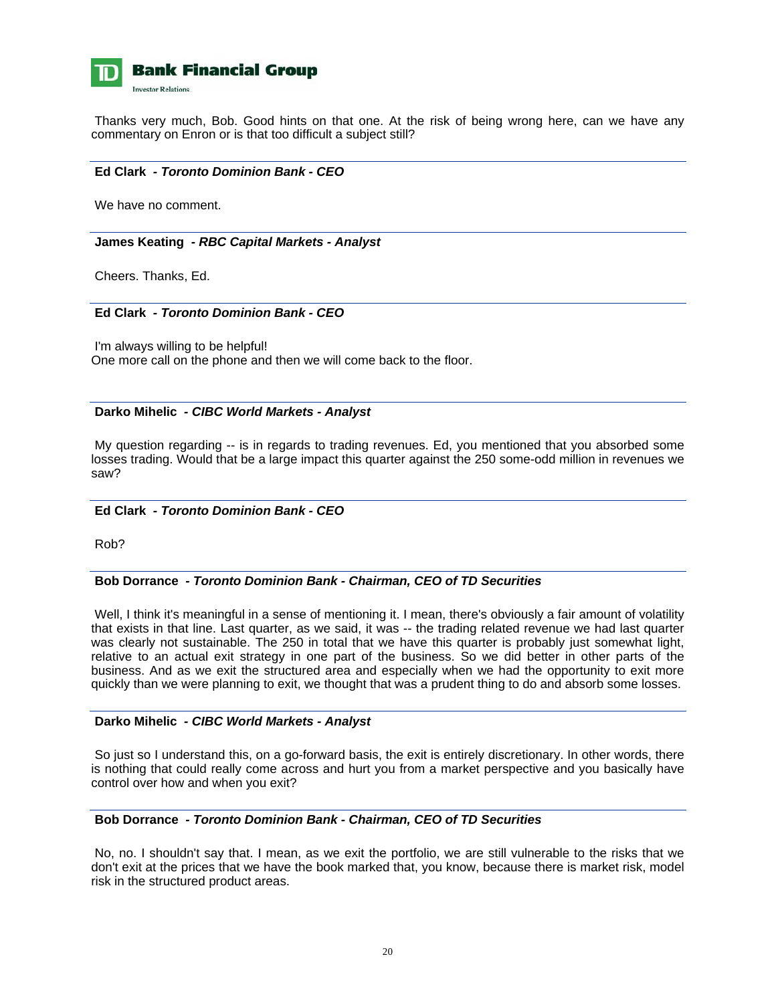

 Thanks very much, Bob. Good hints on that one. At the risk of being wrong here, can we have any commentary on Enron or is that too difficult a subject still?

## **Ed Clark** *- Toronto Dominion Bank - CEO*

We have no comment.

#### **James Keating** *- RBC Capital Markets - Analyst*

Cheers. Thanks, Ed.

## **Ed Clark** *- Toronto Dominion Bank - CEO*

 I'm always willing to be helpful! One more call on the phone and then we will come back to the floor.

#### **Darko Mihelic** *- CIBC World Markets - Analyst*

 My question regarding -- is in regards to trading revenues. Ed, you mentioned that you absorbed some losses trading. Would that be a large impact this quarter against the 250 some-odd million in revenues we saw?

## **Ed Clark** *- Toronto Dominion Bank - CEO*

Rob?

## **Bob Dorrance** *- Toronto Dominion Bank - Chairman, CEO of TD Securities*

Well, I think it's meaningful in a sense of mentioning it. I mean, there's obviously a fair amount of volatility that exists in that line. Last quarter, as we said, it was -- the trading related revenue we had last quarter was clearly not sustainable. The 250 in total that we have this quarter is probably just somewhat light, relative to an actual exit strategy in one part of the business. So we did better in other parts of the business. And as we exit the structured area and especially when we had the opportunity to exit more quickly than we were planning to exit, we thought that was a prudent thing to do and absorb some losses.

## **Darko Mihelic** *- CIBC World Markets - Analyst*

 So just so I understand this, on a go-forward basis, the exit is entirely discretionary. In other words, there is nothing that could really come across and hurt you from a market perspective and you basically have control over how and when you exit?

## **Bob Dorrance** *- Toronto Dominion Bank - Chairman, CEO of TD Securities*

 No, no. I shouldn't say that. I mean, as we exit the portfolio, we are still vulnerable to the risks that we don't exit at the prices that we have the book marked that, you know, because there is market risk, model risk in the structured product areas.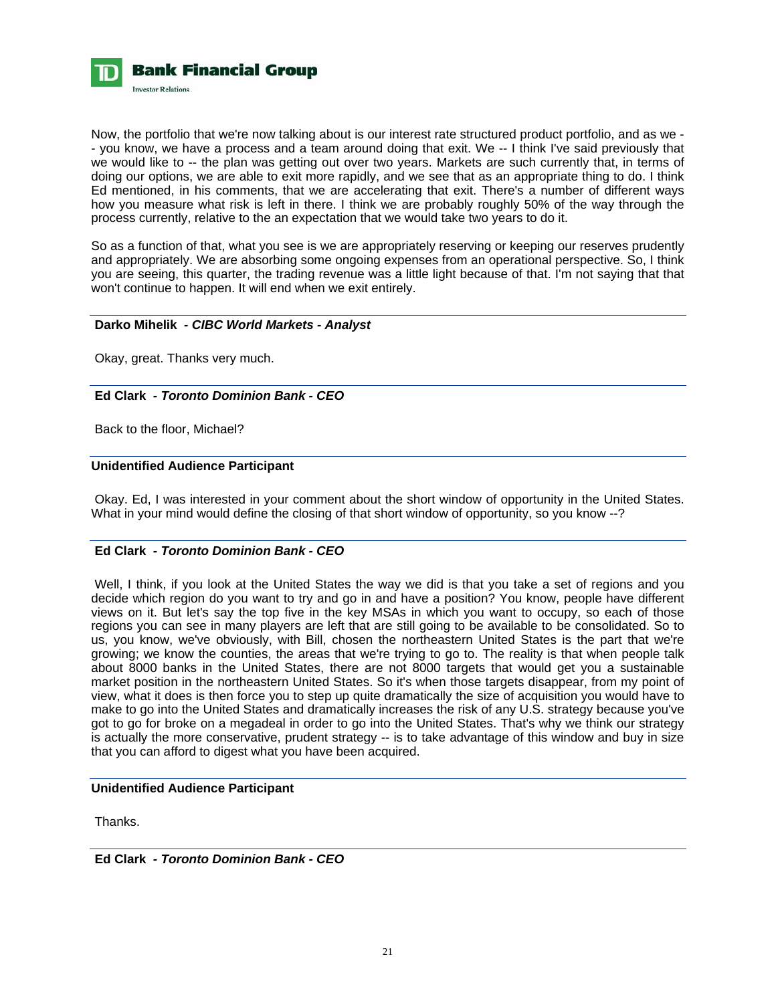

Now, the portfolio that we're now talking about is our interest rate structured product portfolio, and as we - - you know, we have a process and a team around doing that exit. We -- I think I've said previously that we would like to -- the plan was getting out over two years. Markets are such currently that, in terms of doing our options, we are able to exit more rapidly, and we see that as an appropriate thing to do. I think Ed mentioned, in his comments, that we are accelerating that exit. There's a number of different ways how you measure what risk is left in there. I think we are probably roughly 50% of the way through the process currently, relative to the an expectation that we would take two years to do it.

So as a function of that, what you see is we are appropriately reserving or keeping our reserves prudently and appropriately. We are absorbing some ongoing expenses from an operational perspective. So, I think you are seeing, this quarter, the trading revenue was a little light because of that. I'm not saying that that won't continue to happen. It will end when we exit entirely.

## **Darko Mihelik** *- CIBC World Markets - Analyst*

Okay, great. Thanks very much.

## **Ed Clark** *- Toronto Dominion Bank - CEO*

Back to the floor, Michael?

## **Unidentified Audience Participant**

 Okay. Ed, I was interested in your comment about the short window of opportunity in the United States. What in your mind would define the closing of that short window of opportunity, so you know --?

## **Ed Clark** *- Toronto Dominion Bank - CEO*

 Well, I think, if you look at the United States the way we did is that you take a set of regions and you decide which region do you want to try and go in and have a position? You know, people have different views on it. But let's say the top five in the key MSAs in which you want to occupy, so each of those regions you can see in many players are left that are still going to be available to be consolidated. So to us, you know, we've obviously, with Bill, chosen the northeastern United States is the part that we're growing; we know the counties, the areas that we're trying to go to. The reality is that when people talk about 8000 banks in the United States, there are not 8000 targets that would get you a sustainable market position in the northeastern United States. So it's when those targets disappear, from my point of view, what it does is then force you to step up quite dramatically the size of acquisition you would have to make to go into the United States and dramatically increases the risk of any U.S. strategy because you've got to go for broke on a megadeal in order to go into the United States. That's why we think our strategy is actually the more conservative, prudent strategy -- is to take advantage of this window and buy in size that you can afford to digest what you have been acquired.

## **Unidentified Audience Participant**

Thanks.

 **Ed Clark** *- Toronto Dominion Bank - CEO*